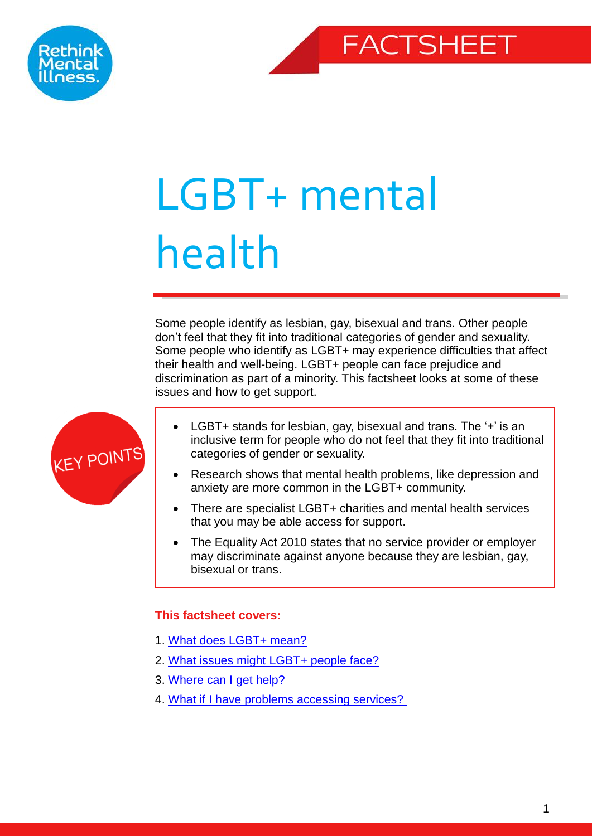



# LGBT+ mental health

Some people identify as lesbian, gay, bisexual and trans. Other people don't feel that they fit into traditional categories of gender and sexuality. Some people who identify as LGBT+ may experience difficulties that affect their health and well-being. LGBT+ people can face prejudice and discrimination as part of a minority. This factsheet looks at some of these issues and how to get support.



- LGBT+ stands for lesbian, gay, bisexual and trans. The '+' is an inclusive term for people who do not feel that they fit into traditional categories of gender or sexuality.
- Research shows that mental health problems, like depression and anxiety are more common in the LGBT+ community.
- There are specialist LGBT+ charities and mental health services that you may be able access for support.
- The Equality Act 2010 states that no service provider or employer may discriminate against anyone because they are lesbian, gay, bisexual or trans.

## <span id="page-0-1"></span><span id="page-0-0"></span>**This factsheet covers:**

- 1. [What does](#page-2-0) LGBT+ mean?
- 2. [What issues might LGBT+](#page-5-0) people face?
- 3. [Where can I get help?](#page-6-0)
- 4. [What if I have problems accessing services?](#page-8-0)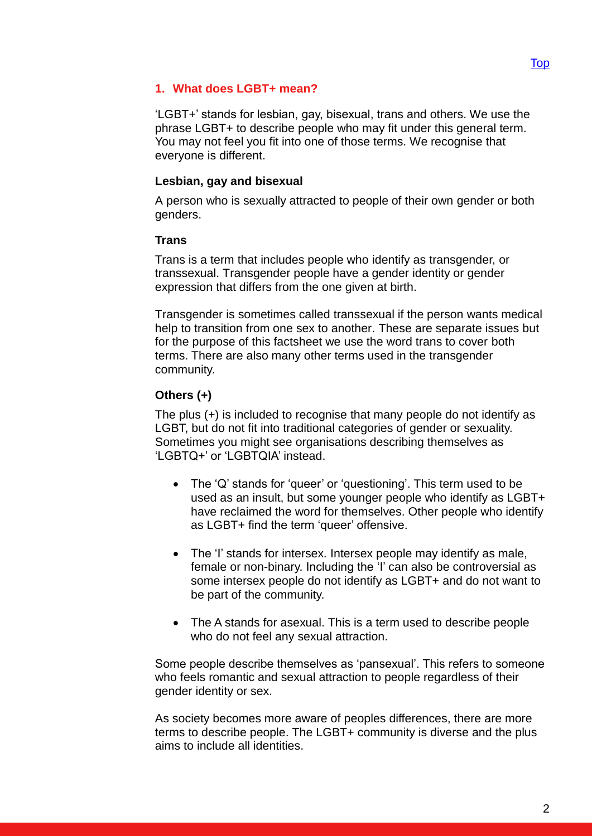## **1. What does LGBT+ mean?**

'LGBT+' stands for lesbian, gay, bisexual, trans and others. We use the phrase LGBT+ to describe people who may fit under this general term. You may not feel you fit into one of those terms. We recognise that everyone is different.

## **Lesbian, gay and bisexual**

A person who is sexually attracted to people of their own gender or both genders.

## **Trans**

Trans is a term that includes people who identify as transgender, or transsexual. Transgender people have a gender identity or gender expression that differs from the one given at birth.

Transgender is sometimes called transsexual if the person wants medical help to transition from one sex to another. These are separate issues but for the purpose of this factsheet we use the word trans to cover both terms. There are also many other terms used in the transgender community.

## **Others (+)**

The plus (+) is included to recognise that many people do not identify as LGBT, but do not fit into traditional categories of gender or sexuality. Sometimes you might see organisations describing themselves as 'LGBTQ+' or 'LGBTQIA' instead.

- The 'Q' stands for 'queer' or 'questioning'. This term used to be used as an insult, but some younger people who identify as LGBT+ have reclaimed the word for themselves. Other people who identify as LGBT+ find the term 'queer' offensive.
- The 'I' stands for intersex. Intersex people may identify as male, female or non-binary. Including the 'I' can also be controversial as some intersex people do not identify as LGBT+ and do not want to be part of the community.
- The A stands for asexual. This is a term used to describe people who do not feel any sexual attraction.

Some people describe themselves as 'pansexual'. This refers to someone who feels romantic and sexual attraction to people regardless of their gender identity or sex.

As society becomes more aware of peoples differences, there are more terms to describe people. The LGBT+ community is diverse and the plus aims to include all identities.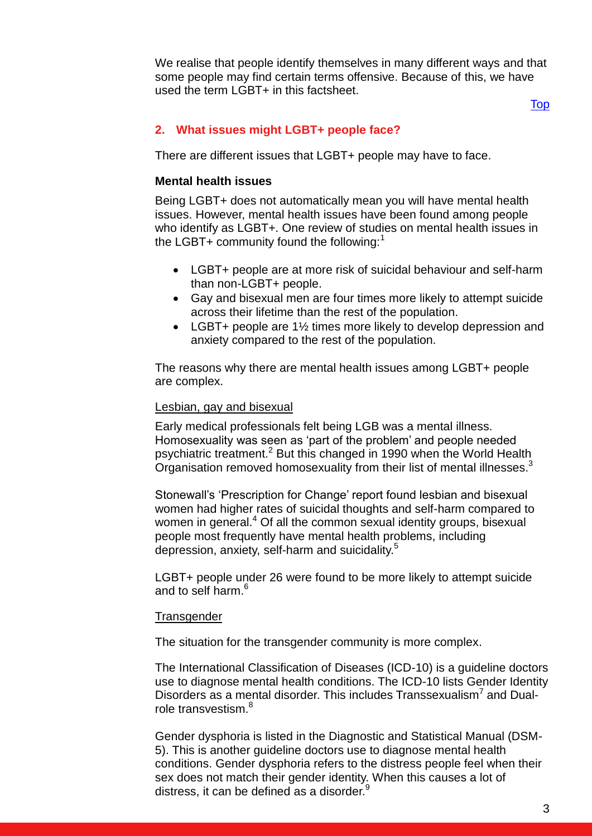We realise that people identify themselves in many different ways and that some people may find certain terms offensive. Because of this, we have used the term LGBT+ in this factsheet.

[Top](#page-0-1)

## <span id="page-2-0"></span>**2. What issues might LGBT+ people face?**

There are different issues that LGBT+ people may have to face.

#### **Mental health issues**

Being LGBT+ does not automatically mean you will have mental health issues. However, mental health issues have been found among people who identify as LGBT+. One review of studies on mental health issues in the LGBT+ community found the following: $<sup>1</sup>$ </sup>

- LGBT+ people are at more risk of suicidal behaviour and self-harm than non-LGBT+ people.
- Gay and bisexual men are four times more likely to attempt suicide across their lifetime than the rest of the population.
- LGBT+ people are 1<sup>1/2</sup> times more likely to develop depression and anxiety compared to the rest of the population.

The reasons why there are mental health issues among LGBT+ people are complex.

#### Lesbian, gay and bisexual

Early medical professionals felt being LGB was a mental illness. Homosexuality was seen as 'part of the problem' and people needed psychiatric treatment.<sup>2</sup> But this changed in 1990 when the World Health Organisation removed homosexuality from their list of mental illnesses.<sup>3</sup>

Stonewall's 'Prescription for Change' report found lesbian and bisexual women had higher rates of suicidal thoughts and self-harm compared to women in general.<sup>4</sup> Of all the common sexual identity groups, bisexual people most frequently have mental health problems, including depression, anxiety, self-harm and suicidality.<sup>5</sup>

LGBT+ people under 26 were found to be more likely to attempt suicide and to self harm.<sup>6</sup>

#### **Transgender**

The situation for the transgender community is more complex.

The International Classification of Diseases (ICD-10) is a guideline doctors use to diagnose mental health conditions. The ICD-10 lists Gender Identity Disorders as a mental disorder. This includes Transsexualism<sup>7</sup> and Dualrole transvestism.<sup>8</sup>

Gender dysphoria is listed in the Diagnostic and Statistical Manual (DSM-5). This is another guideline doctors use to diagnose mental health conditions. Gender dysphoria refers to the distress people feel when their sex does not match their gender identity. When this causes a lot of distress, it can be defined as a disorder.<sup>9</sup>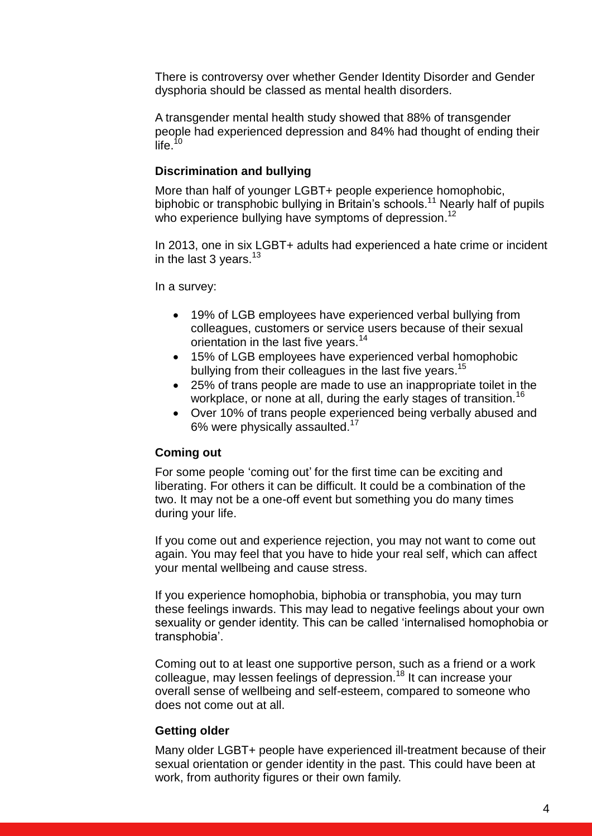There is controversy over whether Gender Identity Disorder and Gender dysphoria should be classed as mental health disorders.

A transgender mental health study showed that 88% of transgender people had experienced depression and 84% had thought of ending their  $\overline{\mathsf{life}}$ .<sup>10</sup>

## **Discrimination and bullying**

More than half of younger LGBT+ people experience homophobic, biphobic or transphobic bullying in Britain's schools. <sup>11</sup> Nearly half of pupils who experience bullying have symptoms of depression.<sup>12</sup>

In 2013, one in six LGBT+ adults had experienced a hate crime or incident in the last  $3$  years.<sup>13</sup>

In a survey:

- 19% of LGB employees have experienced verbal bullying from colleagues, customers or service users because of their sexual orientation in the last five years.<sup>14</sup>
- 15% of LGB employees have experienced verbal homophobic bullying from their colleagues in the last five years.<sup>15</sup>
- 25% of trans people are made to use an inappropriate toilet in the workplace, or none at all, during the early stages of transition.<sup>16</sup>
- Over 10% of trans people experienced being verbally abused and 6% were physically assaulted.<sup>17</sup>

## **Coming out**

For some people 'coming out' for the first time can be exciting and liberating. For others it can be difficult. It could be a combination of the two. It may not be a one-off event but something you do many times during your life.

If you come out and experience rejection, you may not want to come out again. You may feel that you have to hide your real self, which can affect your mental wellbeing and cause stress.

If you experience homophobia, biphobia or transphobia, you may turn these feelings inwards. This may lead to negative feelings about your own sexuality or gender identity. This can be called 'internalised homophobia or transphobia'.

Coming out to at least one supportive person, such as a friend or a work colleague, may lessen feelings of depression.<sup>18</sup> It can increase your overall sense of wellbeing and self-esteem, compared to someone who does not come out at all.

## **Getting older**

Many older LGBT+ people have experienced ill-treatment because of their sexual orientation or gender identity in the past. This could have been at work, from authority figures or their own family.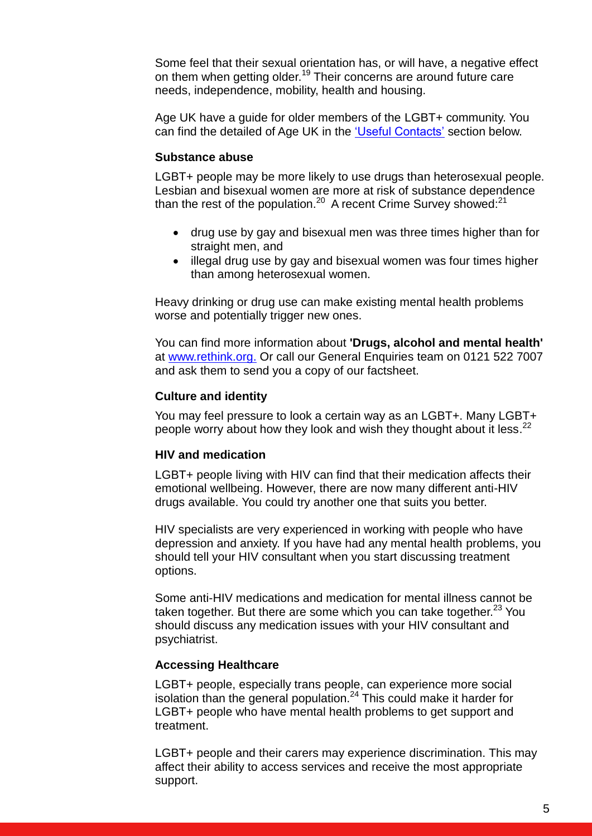Some feel that their sexual orientation has, or will have, a negative effect on them when getting older.<sup>19</sup> Their concerns are around future care needs, independence, mobility, health and housing.

Age UK have a guide for older members of the LGBT+ community. You can find the detailed of Age UK in the ['Useful Contacts'](#page-8-1) section below.

## **Substance abuse**

LGBT+ people may be more likely to use drugs than heterosexual people. Lesbian and bisexual women are more at risk of substance dependence than the rest of the population.<sup>20</sup> A recent Crime Survey showed:<sup>21</sup>

- drug use by gay and bisexual men was three times higher than for straight men, and
- illegal drug use by gay and bisexual women was four times higher than among heterosexual women.

Heavy drinking or drug use can make existing mental health problems worse and potentially trigger new ones.

You can find more information about **'Drugs, alcohol and mental health'** at [www.rethink.org.](http://www.rethink.org/resources/) Or call our General Enquiries team on 0121 522 7007 and ask them to send you a copy of our factsheet.

## **Culture and identity**

You may feel pressure to look a certain way as an LGBT+. Many LGBT+ people worry about how they look and wish they thought about it less.<sup>22</sup>

#### **HIV and medication**

LGBT+ people living with HIV can find that their medication affects their emotional wellbeing. However, there are now many different anti-HIV drugs available. You could try another one that suits you better.

HIV specialists are very experienced in working with people who have depression and anxiety. If you have had any mental health problems, you should tell your HIV consultant when you start discussing treatment options.

Some anti-HIV medications and medication for mental illness cannot be taken together. But there are some which you can take together. $^{23}$  You should discuss any medication issues with your HIV consultant and psychiatrist.

#### **Accessing Healthcare**

LGBT+ people, especially trans people, can experience more social isolation than the general population.<sup>24</sup> This could make it harder for LGBT+ people who have mental health problems to get support and treatment.

LGBT+ people and their carers may experience discrimination. This may affect their ability to access services and receive the most appropriate support.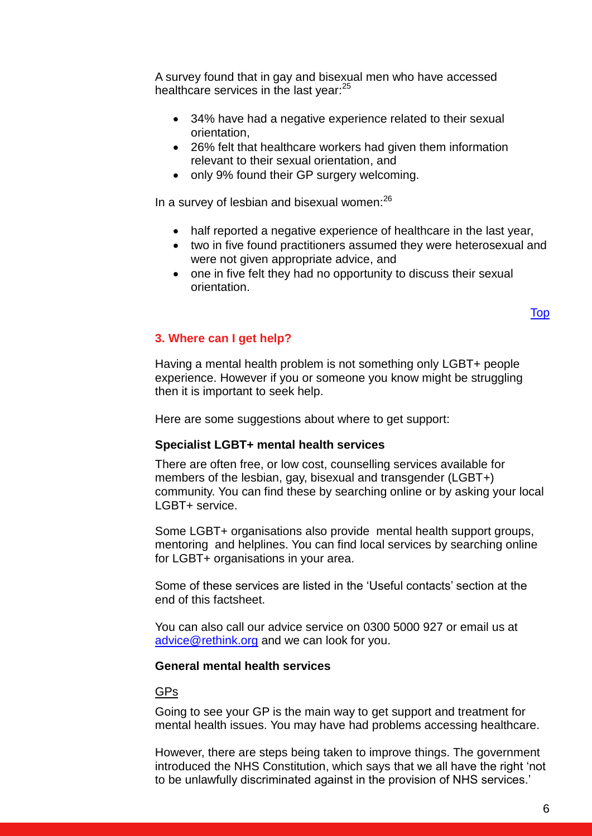A survey found that in gay and bisexual men who have accessed healthcare services in the last year:<sup>25</sup>

- 34% have had a negative experience related to their sexual orientation,
- 26% felt that healthcare workers had given them information relevant to their sexual orientation, and
- only 9% found their GP surgery welcoming.

In a survey of lesbian and bisexual women:<sup>26</sup>

- half reported a negative experience of healthcare in the last year,
- two in five found practitioners assumed they were heterosexual and were not given appropriate advice, and
- one in five felt they had no opportunity to discuss their sexual orientation.

[Top](#page-0-1)

## <span id="page-5-0"></span>**3. Where can I get help?**

Having a mental health problem is not something only LGBT+ people experience. However if you or someone you know might be struggling then it is important to seek help.

Here are some suggestions about where to get support:

## **Specialist LGBT+ mental health services**

There are often free, or low cost, counselling services available for members of the lesbian, gay, bisexual and transgender (LGBT+) community. You can find these by searching online or by asking your local LGBT+ service.

Some LGBT+ organisations also provide mental health support groups, mentoring and helplines. You can find local services by searching online for LGBT+ organisations in your area.

Some of these services are listed in the 'Useful contacts' section at the end of this factsheet.

You can also call our advice service on 0300 5000 927 or email us at [advice@rethink.org](mailto:advice@rethink.org) and we can look for you.

#### **General mental health services**

GPs

Going to see your GP is the main way to get support and treatment for mental health issues. You may have had problems accessing healthcare.

However, there are steps being taken to improve things. The government introduced the NHS Constitution, which says that we all have the right 'not to be unlawfully discriminated against in the provision of NHS services.'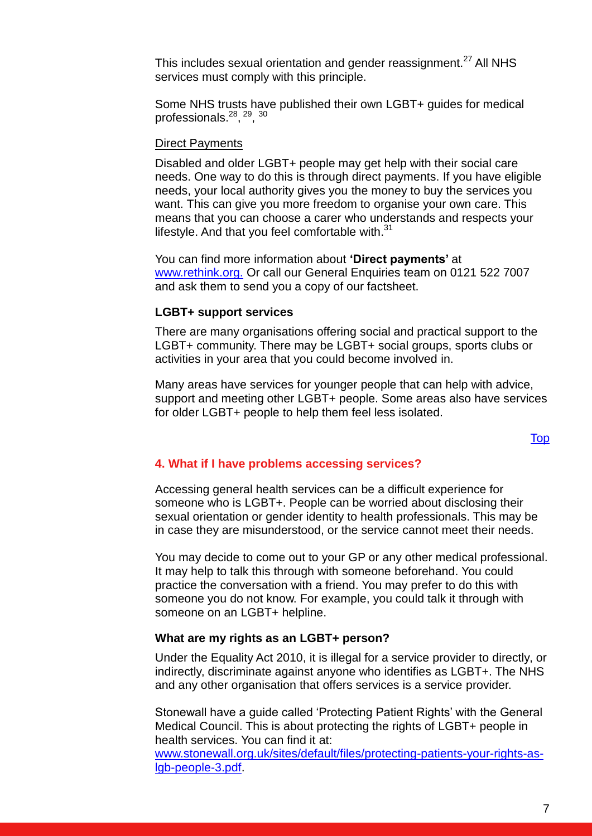This includes sexual orientation and gender reassignment.<sup>27</sup> All NHS services must comply with this principle.

Some NHS trusts have published their own LGBT+ guides for medical professionals.<sup>28</sup>, <sup>29</sup>, <sup>30</sup>

## Direct Payments

Disabled and older LGBT+ people may get help with their social care needs. One way to do this is through direct payments. If you have eligible needs, your local authority gives you the money to buy the services you want. This can give you more freedom to organise your own care. This means that you can choose a carer who understands and respects your lifestyle. And that you feel comfortable with.<sup>31</sup>

You can find more information about **'Direct payments'** at [www.rethink.org.](http://www.rethink.org./) Or call our General Enquiries team on 0121 522 7007 and ask them to send you a copy of our factsheet.

## **LGBT+ support services**

There are many organisations offering social and practical support to the LGBT+ community. There may be LGBT+ social groups, sports clubs or activities in your area that you could become involved in.

Many areas have services for younger people that can help with advice, support and meeting other LGBT+ people. Some areas also have services for older LGBT+ people to help them feel less isolated.

## <span id="page-6-0"></span>**4. What if I have problems accessing services?**

Accessing general health services can be a difficult experience for someone who is LGBT+. People can be worried about disclosing their sexual orientation or gender identity to health professionals. This may be in case they are misunderstood, or the service cannot meet their needs.

You may decide to come out to your GP or any other medical professional. It may help to talk this through with someone beforehand. You could practice the conversation with a friend. You may prefer to do this with someone you do not know. For example, you could talk it through with someone on an LGBT+ helpline.

#### **What are my rights as an LGBT+ person?**

Under the Equality Act 2010, it is illegal for a service provider to directly, or indirectly, discriminate against anyone who identifies as LGBT+. The NHS and any other organisation that offers services is a service provider.

Stonewall have a guide called 'Protecting Patient Rights' with the General Medical Council. This is about protecting the rights of LGBT+ people in health services. You can find it at:

[www.stonewall.org.uk/sites/default/files/protecting-patients-your-rights-as](http://www.stonewall.org.uk/sites/default/files/protecting-patients-your-rights-as-lgb-people-3.pdf)[lgb-people-3.pdf.](http://www.stonewall.org.uk/sites/default/files/protecting-patients-your-rights-as-lgb-people-3.pdf)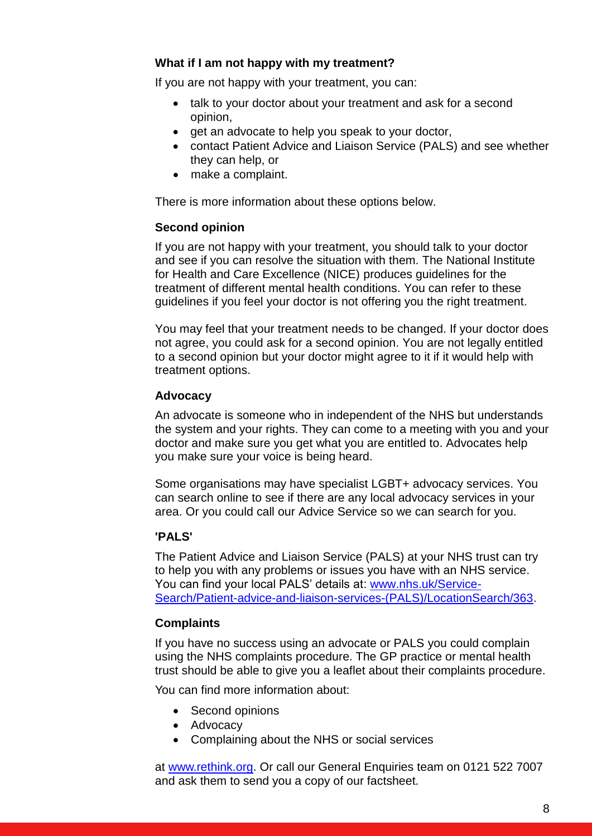## **What if I am not happy with my treatment?**

If you are not happy with your treatment, you can:

- talk to your doctor about your treatment and ask for a second opinion,
- get an advocate to help you speak to your doctor,
- contact Patient Advice and Liaison Service (PALS) and see whether they can help, or
- make a complaint.

There is more information about these options below.

## **Second opinion**

If you are not happy with your treatment, you should talk to your doctor and see if you can resolve the situation with them. The National Institute for Health and Care Excellence (NICE) produces guidelines for the treatment of different mental health conditions. You can refer to these guidelines if you feel your doctor is not offering you the right treatment.

You may feel that your treatment needs to be changed. If your doctor does not agree, you could ask for a second opinion. You are not legally entitled to a second opinion but your doctor might agree to it if it would help with treatment options.

## **Advocacy**

An advocate is someone who in independent of the NHS but understands the system and your rights. They can come to a meeting with you and your doctor and make sure you get what you are entitled to. Advocates help you make sure your voice is being heard.

Some organisations may have specialist LGBT+ advocacy services. You can search online to see if there are any local advocacy services in your area. Or you could call our Advice Service so we can search for you.

## **'PALS'**

The Patient Advice and Liaison Service (PALS) at your NHS trust can try to help you with any problems or issues you have with an NHS service. You can find your local PALS' details at: [www.nhs.uk/Service-](file://Srv-fil05/YKS_NE_EM/EM/Advice%20&%20Information%20Service%20AIS4005/Shared/FACT%20SHEETS/LGBTQ+%20mental%20health%20Factsheet/Review%20Folder/2017/Review%20Folder/2017%20partial%20review/www.nhs.uk/Service-Search/Patient-advice-and-liaison-services-(PALS)/LocationSearch/363)[Search/Patient-advice-and-liaison-services-\(PALS\)/LocationSearch/363.](file://Srv-fil05/YKS_NE_EM/EM/Advice%20&%20Information%20Service%20AIS4005/Shared/FACT%20SHEETS/LGBTQ+%20mental%20health%20Factsheet/Review%20Folder/2017/Review%20Folder/2017%20partial%20review/www.nhs.uk/Service-Search/Patient-advice-and-liaison-services-(PALS)/LocationSearch/363)

## **Complaints**

If you have no success using an advocate or PALS you could complain using the NHS complaints procedure. The GP practice or mental health trust should be able to give you a leaflet about their complaints procedure.

You can find more information about:

- Second opinions
- Advocacy
- Complaining about the NHS or social services

at [www.rethink.org.](http://www.rethink.org/) Or call our General Enquiries team on 0121 522 7007 and ask them to send you a copy of our factsheet.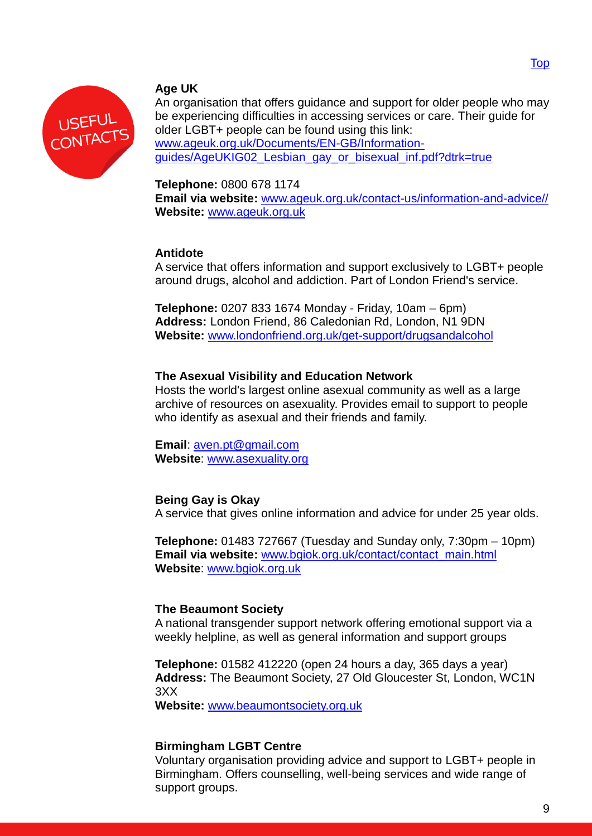<span id="page-8-0"></span>

## <span id="page-8-1"></span>**Age UK**

An organisation that offers guidance and support for older people who may be experiencing difficulties in accessing services or care. Their guide for older LGBT+ people can be found using this link: [www.ageuk.org.uk/Documents/EN-GB/Information](file://srv-fil05/YKS_NE_EM/EM/Advice%20&%20Information%20Service%20AIS4005/Shared/FACT%20SHEETS/LGBTQ+%20mental%20health%20Factsheet/Review%20Folder/2017/Review%20Folder/2017%20partial%20review/www.ageuk.org.uk/Documents/EN-GB/Information-guides/AgeUKIG02_Lesbian_gay_or_bisexual_inf.pdf?dtrk=true)[guides/AgeUKIG02\\_Lesbian\\_gay\\_or\\_bisexual\\_inf.pdf?dtrk=true](file://srv-fil05/YKS_NE_EM/EM/Advice%20&%20Information%20Service%20AIS4005/Shared/FACT%20SHEETS/LGBTQ+%20mental%20health%20Factsheet/Review%20Folder/2017/Review%20Folder/2017%20partial%20review/www.ageuk.org.uk/Documents/EN-GB/Information-guides/AgeUKIG02_Lesbian_gay_or_bisexual_inf.pdf?dtrk=true)

## **Telephone:** 0800 678 1174

**Email via website:** [www.ageuk.org.uk/contact-us/information-and-advice//](http://www.ageuk.org.uk/contact-us/information-and-advice/) **Website:** [www.ageuk.org.uk](http://www.ageuk.org.uk/)

## **Antidote**

A service that offers information and support exclusively to LGBT+ people around drugs, alcohol and addiction. Part of London Friend's service.

**Telephone:** 0207 833 1674 Monday - Friday, 10am – 6pm) **Address:** London Friend, 86 Caledonian Rd, London, N1 9DN **Website:** [www.londonfriend.org.uk/get-support/drugsandalcohol](http://www.londonfriend.org.uk/get-support/drugsandalcohol)

## **The Asexual Visibility and Education Network**

Hosts the world's largest online asexual community as well as a large archive of resources on asexuality. Provides email to support to people who identify as asexual and their friends and family.

**Email**: [aven.pt@gmail.com](mailto:aven.pt@gmail.com) **Website**: [www.asexuality.org](http://www.asexuality.org/)

## **Being Gay is Okay**

A service that gives online information and advice for under 25 year olds.

**Telephone:** 01483 727667 (Tuesday and Sunday only, 7:30pm – 10pm) **Email via website:** [www.bgiok.org.uk/contact/contact\\_main.html](http://www.bgiok.org.uk/contact/contact_main.html) **Website**: [www.bgiok.org.uk](http://www.bgiok.org.uk/) 

## **The Beaumont Society**

A national transgender support network offering emotional support via a weekly helpline, as well as general information and support groups

**Telephone:** 01582 412220 (open 24 hours a day, 365 days a year) **Address:** The Beaumont Society, 27 Old Gloucester St, London, WC1N 3XX

**Website:** [www.beaumontsociety.org.uk](http://www.beaumontsociety.org.uk/)

## **Birmingham LGBT Centre**

Voluntary organisation providing advice and support to LGBT+ people in Birmingham. Offers counselling, well-being services and wide range of support groups.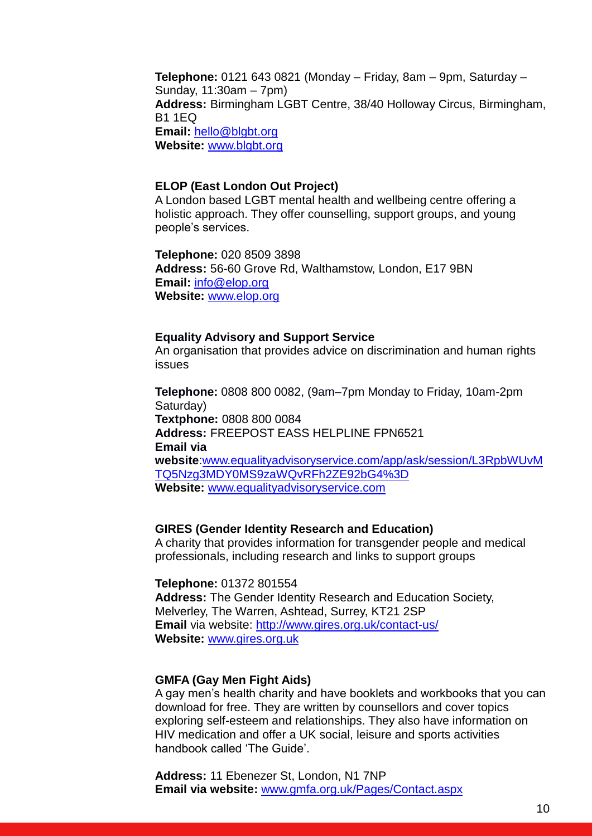**Telephone:** [0121 643 0821](http://blgbt.org/) (Monday – Friday, 8am – 9pm, Saturday – Sunday, 11:30am – 7pm) **Address:** Birmingham LGBT Centre, 38/40 Holloway Circus, Birmingham, B1 1EQ **Email:** [hello@blgbt.org](mailto:hello@blgbt.org) **Website:** [www.blgbt.org](http://www.blgbt.org/)

#### **ELOP (East London Out Project)**

A London based LGBT mental health and wellbeing centre offering a holistic approach. They offer counselling, support groups, and young people's services.

**Telephone:** 020 8509 3898 **Address:** 56-60 Grove Rd, Walthamstow, London, E17 9BN **Email:** [info@elop.org](mailto:info@elop.org) **Website:** [www.elop.org](http://www.elop.org/)

#### **Equality Advisory and Support Service**

An organisation that provides advice on discrimination and human rights issues

**Telephone:** 0808 800 0082, (9am–7pm Monday to Friday, 10am-2pm Saturday) **Textphone:** 0808 800 0084 **Address:** FREEPOST EASS HELPLINE FPN6521 **Email via website**[:www.equalityadvisoryservice.com/app/ask/session/L3RpbWUvM](http://www.equalityadvisoryservice.com/app/ask/session/L3RpbWUvMTQ5Nzg3MDY0MS9zaWQvRFh2ZE92bG4%3D) [TQ5Nzg3MDY0MS9zaWQvRFh2ZE92bG4%3D](http://www.equalityadvisoryservice.com/app/ask/session/L3RpbWUvMTQ5Nzg3MDY0MS9zaWQvRFh2ZE92bG4%3D) **Website:** [www.equalityadvisoryservice.com](http://www.equalityadvisoryservice.com/) 

## **GIRES (Gender Identity Research and Education)**

A charity that provides information for transgender people and medical professionals, including research and links to support groups

**Telephone:** 01372 801554

**Address:** The Gender Identity Research and Education Society, Melverley, The Warren, Ashtead, Surrey, KT21 2SP **Email** via website:<http://www.gires.org.uk/contact-us/> **Website:** [www.gires.org.uk](http://www.gires.org.uk/)

## **GMFA (Gay Men Fight Aids)**

A gay men's health charity and have booklets and workbooks that you can download for free. They are written by counsellors and cover topics exploring self-esteem and relationships. They also have information on HIV medication and offer a UK social, leisure and sports activities handbook called 'The Guide'.

**Address:** 11 Ebenezer St, London, N1 7NP **Email via website:** [www.gmfa.org.uk/Pages/Contact.aspx](http://www.gmfa.org.uk/Pages/Contact.aspx)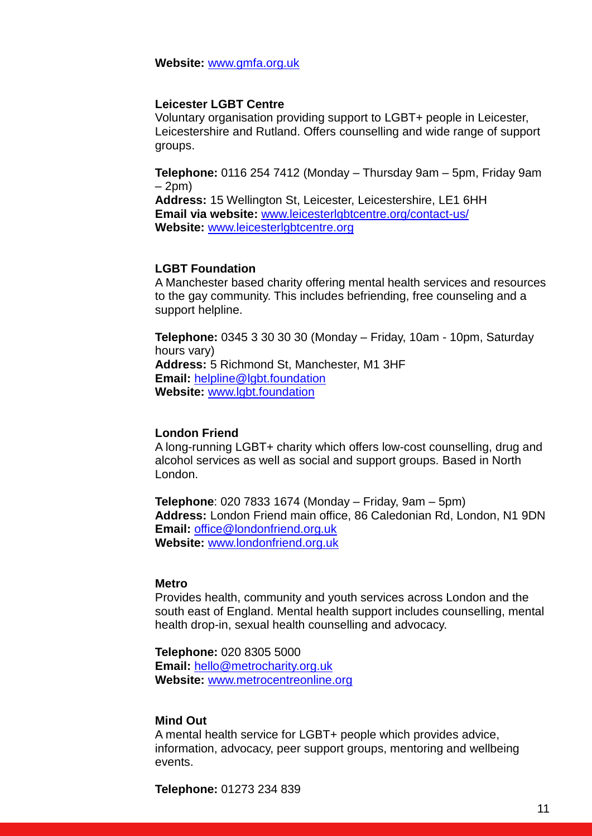**Website:** [www.gmfa.org.uk](http://www.gmfa.org.uk/)

## **Leicester LGBT Centre**

Voluntary organisation providing support to LGBT+ people in Leicester, Leicestershire and Rutland. Offers counselling and wide range of support groups.

**Telephone:** 0116 254 7412 (Monday – Thursday 9am – 5pm, Friday 9am  $-2$ pm $)$ 

**Address:** 15 Wellington St, Leicester, Leicestershire, LE1 6HH **Email via website:** [www.leicesterlgbtcentre.org/contact-us/](http://www.leicesterlgbtcentre.org/contact-us/) **Website:** [www.leicesterlgbtcentre.org](http://www.leicesterlgbtcentre.org/)

#### **LGBT Foundation**

A Manchester based charity offering mental health services and resources to the gay community. This includes befriending, free counseling and a support helpline.

**Telephone:** 0345 3 30 30 30 (Monday – Friday, 10am - 10pm, Saturday hours vary) **Address:** 5 Richmond St, Manchester, M1 3HF **Email:** [helpline@lgbt.foundation](mailto:helpline@lgbt.foundation) **Website:** [www.lgbt.foundation](http://lgbt.foundation/)

## **London Friend**

A long-running LGBT+ charity which offers low-cost counselling, drug and alcohol services as well as social and support groups. Based in North London.

**Telephone**: 020 7833 1674 (Monday – Friday, 9am – 5pm) **Address:** London Friend main office, 86 Caledonian Rd, London, N1 9DN **Email:** [office@londonfriend.org.uk](mailto:office@londonfriend.org.uk) **Website:** [www.londonfriend.org.uk](http://www.londonfriend.org.uk/)

#### **Metro**

Provides health, community and youth services across London and the south east of England. Mental health support includes counselling, mental health drop-in, sexual health counselling and advocacy.

**Telephone:** 020 8305 5000 **Email:** [hello@metrocharity.org.uk](mailto:hello@metrocharity.org.uk) **Website:** [www.metrocentreonline.org](http://www.metrocentreonline.org/)

#### **Mind Out**

A mental health service for LGBT+ people which provides advice, information, advocacy, peer support groups, mentoring and wellbeing events.

**Telephone:** 01273 234 839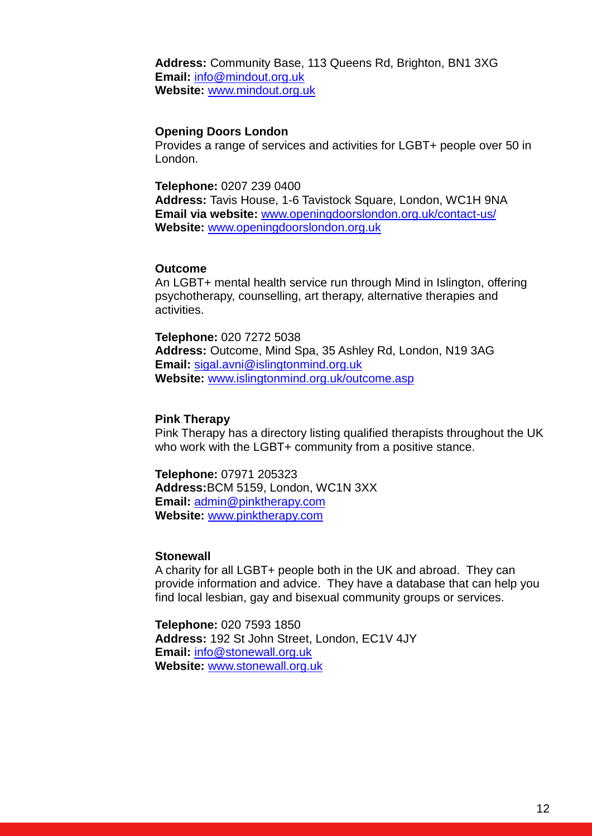**Address:** Community Base, 113 Queens Rd, Brighton, BN1 3XG **Email:** [info@mindout.org.uk](mailto:info@mindout.org.uk) **Website:** [www.mindout.org.uk](http://www.mindout.org.uk/)

#### **Opening Doors London**

Provides a range of services and activities for LGBT+ people over 50 in London.

**Telephone:** 0207 239 0400

**Address:** Tavis House, 1-6 Tavistock Square, London, WC1H 9NA **Email via website:** [www.openingdoorslondon.org.uk/contact-us/](http://www.openingdoorslondon.org.uk/contact-us/) **Website:** [www.openingdoorslondon.org.uk](http://openingdoorslondon.org.uk/)

## **Outcome**

An LGBT+ mental health service run through Mind in Islington, offering psychotherapy, counselling, art therapy, alternative therapies and activities.

**Telephone:** 020 7272 5038 **Address:** Outcome, Mind Spa, 35 Ashley Rd, London, N19 3AG **Email:** [sigal.avni@islingtonmind.org.uk](mailto:sigal.avni@islingtonmind.org.uk) **Website:** [www.islingtonmind.org.uk/outcome.asp](http://www.islingtonmind.org.uk/outcome.asp)

#### **Pink Therapy**

Pink Therapy has a directory listing qualified therapists throughout the UK who work with the LGBT+ community from a positive stance.

**Telephone:** 07971 205323 **Address:**BCM 5159, London, WC1N 3XX **Email:** [admin@pinktherapy.com](mailto:admin@pinktherapy.com) **Website:** [www.pinktherapy.com](http://www.pinktherapy.com/)

#### **Stonewall**

A charity for all LGBT+ people both in the UK and abroad. They can provide information and advice. They have a database that can help you find local lesbian, gay and bisexual community groups or services.

**Telephone:** 020 7593 1850 **Address:** 192 St John Street, London, EC1V 4JY **Email:** [info@stonewall.org.uk](mailto:info@stonewall.org.uk) **Website:** [www.stonewall.org.uk](http://www.stonewall.org.uk/)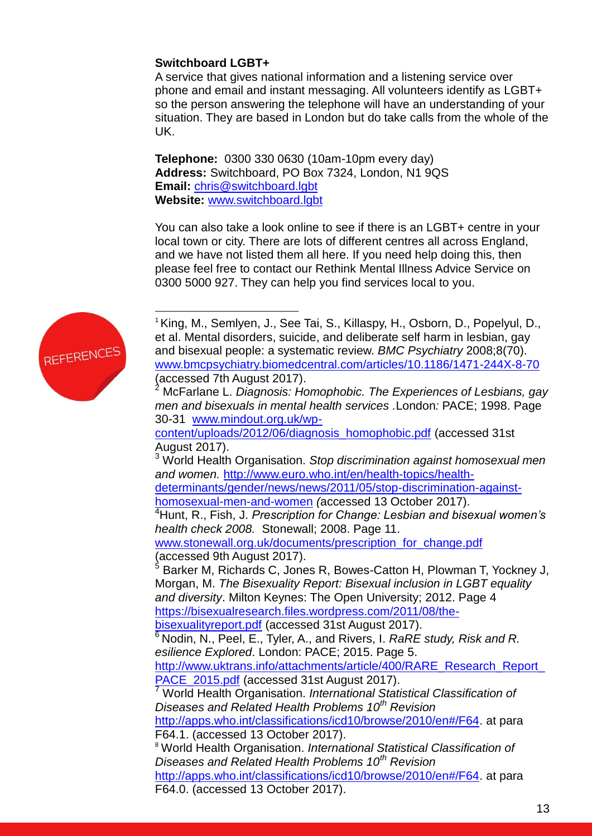## **Switchboard LGBT+**

A service that gives national information and a listening service over phone and email and instant messaging. All volunteers identify as LGBT+ so the person answering the telephone will have an understanding of your situation. They are based in London but do take calls from the whole of the UK.

**Telephone:** 0300 330 0630 (10am-10pm every day) **Address:** Switchboard, PO Box 7324, London, N1 9QS **Email:** [chris@switchboard.lgbt](mailto:chris@switchboard.lgbt) **Website:** [www.switchboard.lgbt](http://www.switchboard.lgbt/)

You can also take a look online to see if there is an LGBT+ centre in your local town or city. There are lots of different centres all across England, and we have not listed them all here. If you need help doing this, then please feel free to contact our Rethink Mental Illness Advice Service on 0300 5000 927. They can help you find services local to you.



1

<sup>1</sup> King, M., Semlyen, J., See Tai, S., Killaspy, H., Osborn, D., Popelyul, D., et al. Mental disorders, suicide, and deliberate self harm in lesbian, gay and bisexual people: a systematic review. *BMC Psychiatry* 2008;8(70). [www.bmcpsychiatry.biomedcentral.com/articles/10.1186/1471-244X-8-70](http://www.bmcpsychiatry.biomedcentral.com/articles/10.1186/1471-244X-8-70) (accessed 7th August 2017). <sup>2</sup> McFarlane L. *Diagnosis: Homophobic. The Experiences of Lesbians, gay men and bisexuals in mental health services .*London*:* PACE; 1998. Page 30-31 [www.mindout.org.uk/wp](http://www.mindout.org.uk/wp-content/uploads/2012/06/diagnosis_homophobic.pdf)[content/uploads/2012/06/diagnosis\\_homophobic.pdf](http://www.mindout.org.uk/wp-content/uploads/2012/06/diagnosis_homophobic.pdf) (accessed 31st August 2017). <sup>3</sup> World Health Organisation. *Stop discrimination against homosexual men and women.* [http://www.euro.who.int/en/health-topics/health](http://www.euro.who.int/en/health-topics/health-determinants/gender/news/news/2011/05/stop-discrimination-against-homosexual-men-and-women)[determinants/gender/news/news/2011/05/stop-discrimination-against](http://www.euro.who.int/en/health-topics/health-determinants/gender/news/news/2011/05/stop-discrimination-against-homosexual-men-and-women)[homosexual-men-and-women](http://www.euro.who.int/en/health-topics/health-determinants/gender/news/news/2011/05/stop-discrimination-against-homosexual-men-and-women) *(*accessed 13 October 2017). <sup>4</sup>Hunt, R., Fish, J. *Prescription for Change: Lesbian and bisexual women's health check 2008.* Stonewall; 2008. Page 11. [www.stonewall.org.uk/documents/prescription\\_for\\_change.pdf](http://www.stonewall.org.uk/documents/prescription_for_change.pdf) (accessed 9th August 2017). <sup>5</sup> Barker M, Richards C, Jones R, Bowes-Catton H, Plowman T, Yockney J, Morgan, M. *The Bisexuality Report: Bisexual inclusion in LGBT equality and diversity*. Milton Keynes: The Open University; 2012. Page 4 [https://bisexualresearch.files.wordpress.com/2011/08/the](https://bisexualresearch.files.wordpress.com/2011/08/the-bisexualityreport.pdf)[bisexualityreport.pdf](https://bisexualresearch.files.wordpress.com/2011/08/the-bisexualityreport.pdf) (accessed 31st August 2017). <sup>6</sup> Nodin, N., Peel, E., Tyler, A., and Rivers, I. *RaRE study, Risk and R. esilience Explored*. London: PACE; 2015. Page 5. http://www.uktrans.info/attachments/article/400/RARE\_Research\_Report PACE 2015.pdf (accessed 31st August 2017). <sup>7</sup> World Health Organisation. *International Statistical Classification of Diseases and Related Health Problems 10th Revision*  [http://apps.who.int/classifications/icd10/browse/2010/en#/F64.](http://apps.who.int/classifications/icd10/browse/2010/en#/F64) at para F64.1. (accessed 13 October 2017). <sup>8</sup> World Health Organisation. *International Statistical Classification of Diseases and Related Health Problems 10th Revision*  [http://apps.who.int/classifications/icd10/browse/2010/en#/F64.](http://apps.who.int/classifications/icd10/browse/2010/en#/F64) at para F64.0. (accessed 13 October 2017).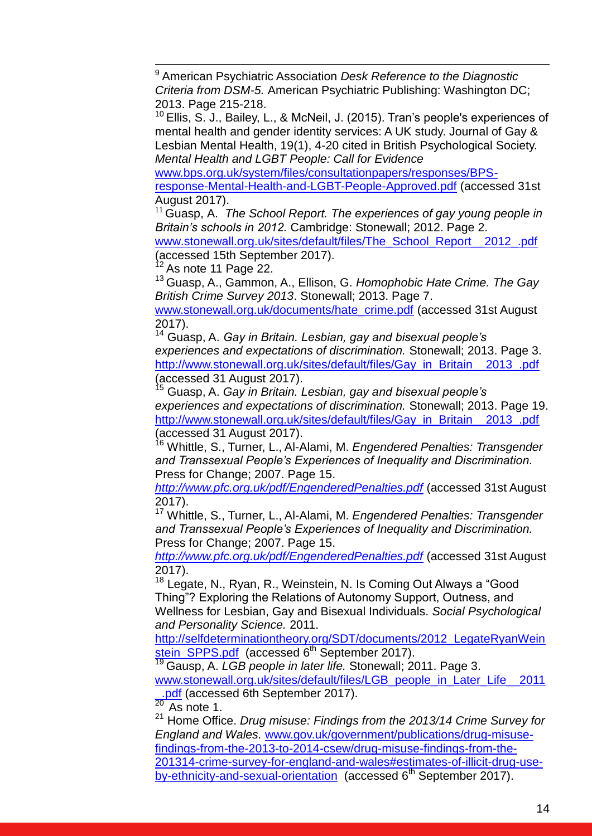1 <sup>9</sup> American Psychiatric Association *Desk Reference to the Diagnostic Criteria from DSM-5.* American Psychiatric Publishing: Washington DC; 2013. Page 215-218.

<sup>10</sup> Ellis, S. J., Bailey, L., & McNeil, J. (2015). Tran's people's experiences of mental health and gender identity services: A UK study. Journal of Gay & Lesbian Mental Health, 19(1), 4-20 cited in British Psychological Society. *Mental Health and LGBT People: Call for Evidence* 

[www.bps.org.uk/system/files/consultationpapers/responses/BPS-](http://www.bps.org.uk/system/files/consultationpapers/responses/BPS-response-Mental-Health-and-LGBT-People-Approved.pdf)

[response-Mental-Health-and-LGBT-People-Approved.pdf](http://www.bps.org.uk/system/files/consultationpapers/responses/BPS-response-Mental-Health-and-LGBT-People-Approved.pdf) (accessed 31st August 2017).

<sup>11</sup> Guasp, A. *The School Report. The experiences of gay young people in Britain's schools in 2012.* Cambridge: Stonewall; 2012. Page 2.

[www.stonewall.org.uk/sites/default/files/The\\_School\\_Report\\_\\_2012\\_.pdf](https://www.stonewall.org.uk/sites/default/files/The_School_Report__2012_.pdf) (accessed 15th September 2017).

As note 11 Page 22.

<sup>13</sup> Guasp, A., Gammon, A., Ellison, G. *Homophobic Hate Crime. The Gay British Crime Survey 2013*. Stonewall; 2013. Page 7.

[www.stonewall.org.uk/documents/hate\\_crime.pdf](http://www.stonewall.org.uk/documents/hate_crime.pdf) (accessed 31st August 2017).

<sup>14</sup> Guasp, A. *Gay in Britain. Lesbian, gay and bisexual people's experiences and expectations of discrimination.* Stonewall; 2013. Page 3. [http://www.stonewall.org.uk/sites/default/files/Gay\\_in\\_Britain\\_\\_2013\\_.pdf](http://www.stonewall.org.uk/sites/default/files/Gay_in_Britain__2013_.pdf) (accessed 31 August 2017).

<sup>15</sup> Guasp, A. *Gay in Britain. Lesbian, gay and bisexual people's experiences and expectations of discrimination.* Stonewall; 2013. Page 19. [http://www.stonewall.org.uk/sites/default/files/Gay\\_in\\_Britain\\_\\_2013\\_.pdf](http://www.stonewall.org.uk/sites/default/files/Gay_in_Britain__2013_.pdf) (accessed 31 August 2017).

<sup>16</sup> Whittle, S., Turner, L., Al-Alami, M. *Engendered Penalties: Transgender and Transsexual People's Experiences of Inequality and Discrimination.*  Press for Change; 2007. Page 15.

*<http://www.pfc.org.uk/pdf/EngenderedPenalties.pdf>* (accessed 31st August 2017).

<sup>17</sup> Whittle, S., Turner, L., Al-Alami, M. *Engendered Penalties: Transgender and Transsexual People's Experiences of Inequality and Discrimination.*  Press for Change; 2007. Page 15.

*<http://www.pfc.org.uk/pdf/EngenderedPenalties.pdf>* (accessed 31st August 2017).

<sup>18</sup> Legate, N., Ryan, R., Weinstein, N. Is Coming Out Always a "Good Thing"? Exploring the Relations of Autonomy Support, Outness, and Wellness for Lesbian, Gay and Bisexual Individuals. *Social Psychological and Personality Science.* 2011.

[http://selfdeterminationtheory.org/SDT/documents/2012\\_LegateRyanWein](http://selfdeterminationtheory.org/SDT/documents/2012_LegateRyanWeinstein_SPPS.pdf) [stein\\_SPPS.pdf](http://selfdeterminationtheory.org/SDT/documents/2012_LegateRyanWeinstein_SPPS.pdf) (accessed 6<sup>th</sup> September 2017).

<sup>19</sup> Gausp, A. *LGB people in later life.* Stonewall; 2011. Page 3.

[www.stonewall.org.uk/sites/default/files/LGB\\_people\\_in\\_Later\\_Life\\_\\_2011](http://www.stonewall.org.uk/sites/default/files/LGB_people_in_Later_Life__2011_.pdf)  $\frac{.pdf}{20}$  (accessed 6th September 2017).

As note 1.

<sup>21</sup> Home Office. *Drug misuse: Findings from the 2013/14 Crime Survey for England and Wales.* [www.gov.uk/government/publications/drug-misuse](http://www.gov.uk/government/publications/drug-misuse-findings-from-the-2013-to-2014-csew/drug-misuse-findings-from-the-201314-crime-survey-for-england-and-wales#estimates-of-illicit-drug-use-by-ethnicity-and-sexual-orientation)[findings-from-the-2013-to-2014-csew/drug-misuse-findings-from-the-](http://www.gov.uk/government/publications/drug-misuse-findings-from-the-2013-to-2014-csew/drug-misuse-findings-from-the-201314-crime-survey-for-england-and-wales#estimates-of-illicit-drug-use-by-ethnicity-and-sexual-orientation)[201314-crime-survey-for-england-and-wales#estimates-of-illicit-drug-use](http://www.gov.uk/government/publications/drug-misuse-findings-from-the-2013-to-2014-csew/drug-misuse-findings-from-the-201314-crime-survey-for-england-and-wales#estimates-of-illicit-drug-use-by-ethnicity-and-sexual-orientation)[by-ethnicity-and-sexual-orientation](http://www.gov.uk/government/publications/drug-misuse-findings-from-the-2013-to-2014-csew/drug-misuse-findings-from-the-201314-crime-survey-for-england-and-wales#estimates-of-illicit-drug-use-by-ethnicity-and-sexual-orientation) (accessed 6<sup>th</sup> September 2017).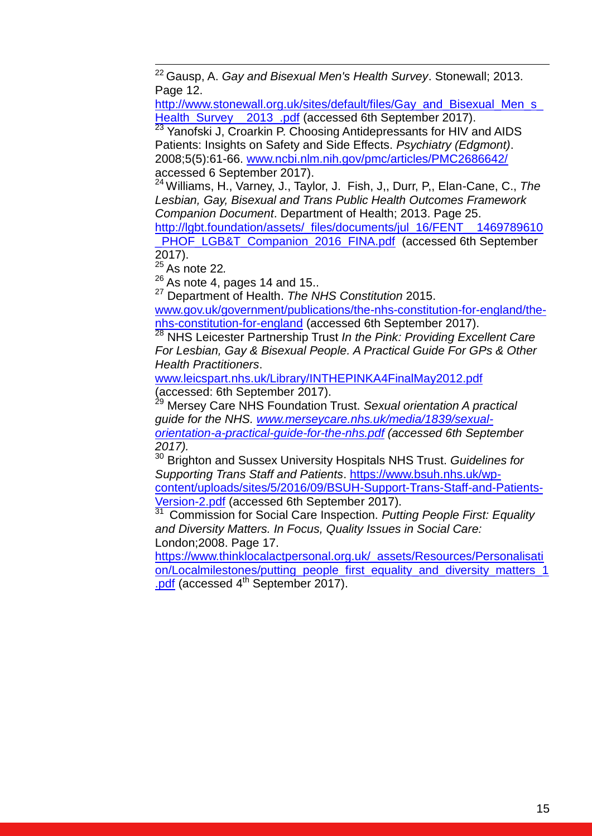<sup>22</sup> Gausp, A. *Gay and Bisexual Men's Health Survey*. Stonewall; 2013. Page 12.

[http://www.stonewall.org.uk/sites/default/files/Gay\\_and\\_Bisexual\\_Men\\_s\\_](http://www.stonewall.org.uk/sites/default/files/Gay_and_Bisexual_Men_s_Health_Survey__2013_.pdf) Health\_Survey\_2013\_.pdf (accessed 6th September 2017).

 $23$  Yanofski J, Croarkin P. Choosing Antidepressants for HIV and AIDS Patients: Insights on Safety and Side Effects. *Psychiatry (Edgmont)*. 2008;5(5):61-66. [www.ncbi.nlm.nih.gov/pmc/articles/PMC2686642/](http://www.ncbi.nlm.nih.gov/pmc/articles/PMC2686642/) accessed 6 September 2017).

<sup>24</sup> Williams, H., Varney, J., Taylor, J. Fish, J,, Durr, P,, Elan-Cane, C., *The Lesbian, Gay, Bisexual and Trans Public Health Outcomes Framework Companion Document*. Department of Health; 2013. Page 25.

[http://lgbt.foundation/assets/\\_files/documents/jul\\_16/FENT\\_\\_1469789610](http://lgbt.foundation/assets/_files/documents/jul_16/FENT__1469789610_PHOF_LGB&T_Companion_2016_FINA.pdf) PHOF\_LGB&T\_Companion\_2016\_FINA.pdf (accessed 6th September 2017).

<sup>25</sup> As note 22*.*

1

 $26$  As note 4, pages 14 and 15..

<sup>27</sup> Department of Health. *The NHS Constitution* 2015.

[www.gov.uk/government/publications/the-nhs-constitution-for-england/the](http://www.gov.uk/government/publications/the-nhs-constitution-for-england/the-nhs-constitution-for-england)[nhs-constitution-for-england](http://www.gov.uk/government/publications/the-nhs-constitution-for-england/the-nhs-constitution-for-england) (accessed 6th September 2017).

<sup>28</sup> NHS Leicester Partnership Trust *In the Pink: Providing Excellent Care For Lesbian, Gay & Bisexual People. A Practical Guide For GPs & Other Health Practitioners*.

[www.leicspart.nhs.uk/Library/INTHEPINKA4FinalMay2012.pdf](http://www.leicspart.nhs.uk/Library/INTHEPINKA4FinalMay2012.pdf) (accessed: 6th September 2017).

<sup>29</sup> Mersey Care NHS Foundation Trust. *Sexual orientation A practical guide for the NHS. [www.merseycare.nhs.uk/media/1839/sexual](http://www.merseycare.nhs.uk/media/1839/sexual-orientation-a-practical-guide-for-the-nhs.pdf)[orientation-a-practical-guide-for-the-nhs.pdf](http://www.merseycare.nhs.uk/media/1839/sexual-orientation-a-practical-guide-for-the-nhs.pdf) (accessed 6th September 2017).*

<sup>30</sup> Brighton and Sussex University Hospitals NHS Trust. *Guidelines for Supporting Trans Staff and Patients*. [https://www.bsuh.nhs.uk/wp](https://www.bsuh.nhs.uk/wp-content/uploads/sites/5/2016/09/BSUH-Support-Trans-Staff-and-Patients-Version-2.pdf)[content/uploads/sites/5/2016/09/BSUH-Support-Trans-Staff-and-Patients-](https://www.bsuh.nhs.uk/wp-content/uploads/sites/5/2016/09/BSUH-Support-Trans-Staff-and-Patients-Version-2.pdf)[Version-2.pdf](https://www.bsuh.nhs.uk/wp-content/uploads/sites/5/2016/09/BSUH-Support-Trans-Staff-and-Patients-Version-2.pdf) (accessed 6th September 2017).<br><sup>31</sup> Commission for Social Care Inspection. Putt

<sup>31</sup> Commission for Social Care Inspection. *Putting People First: Equality and Diversity Matters. In Focus, Quality Issues in Social Care:*  London;2008. Page 17.

[https://www.thinklocalactpersonal.org.uk/\\_assets/Resources/Personalisati](https://www.thinklocalactpersonal.org.uk/_assets/Resources/Personalisation/Localmilestones/putting_people_first_equality_and_diversity_matters_1.pdf) [on/Localmilestones/putting\\_people\\_first\\_equality\\_and\\_diversity\\_matters\\_1](https://www.thinklocalactpersonal.org.uk/_assets/Resources/Personalisation/Localmilestones/putting_people_first_equality_and_diversity_matters_1.pdf) [.pdf](https://www.thinklocalactpersonal.org.uk/_assets/Resources/Personalisation/Localmilestones/putting_people_first_equality_and_diversity_matters_1.pdf) (accessed  $4<sup>th</sup>$  September 2017).